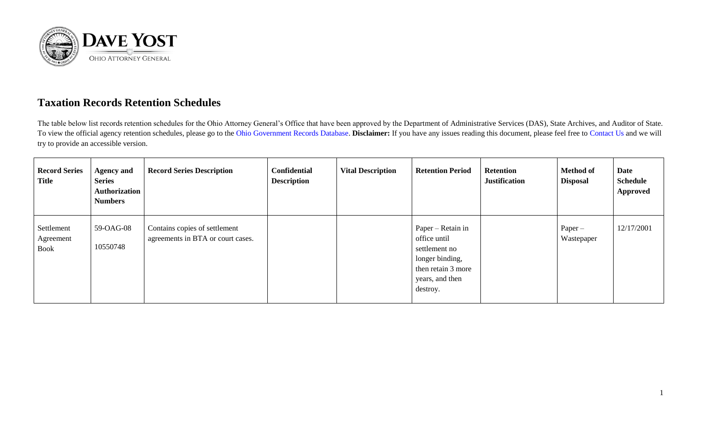

## **Taxation Records Retention Schedules**

The table below list records retention schedules for the Ohio Attorney General's Office that have been approved by the Department of Administrative Services (DAS), State Archives, and Auditor of State. To view the official agency retention schedules, please go to the [Ohio Government Records Database.](https://apps.das.ohio.gov/RIMS/GeneralSchedule) **Disclaimer:** If you have any issues reading this document, please feel free to [Contact Us](https://www.ohioattorneygeneral.gov/About-AG/Contact) and we will try to provide an accessible version.

| <b>Record Series</b><br><b>Title</b> | <b>Agency and</b><br><b>Series</b><br>Authorization<br><b>Numbers</b> | <b>Record Series Description</b>                                   | <b>Confidential</b><br><b>Description</b> | <b>Vital Description</b> | <b>Retention Period</b>                                                                                                    | <b>Retention</b><br><b>Justification</b> | <b>Method of</b><br><b>Disposal</b> | <b>Date</b><br><b>Schedule</b><br><b>Approved</b> |
|--------------------------------------|-----------------------------------------------------------------------|--------------------------------------------------------------------|-------------------------------------------|--------------------------|----------------------------------------------------------------------------------------------------------------------------|------------------------------------------|-------------------------------------|---------------------------------------------------|
| Settlement<br>Agreement<br>Book      | 59-OAG-08<br>10550748                                                 | Contains copies of settlement<br>agreements in BTA or court cases. |                                           |                          | Paper – Retain in<br>office until<br>settlement no<br>longer binding,<br>then retain 3 more<br>years, and then<br>destroy. |                                          | $Paper -$<br>Wastepaper             | 12/17/2001                                        |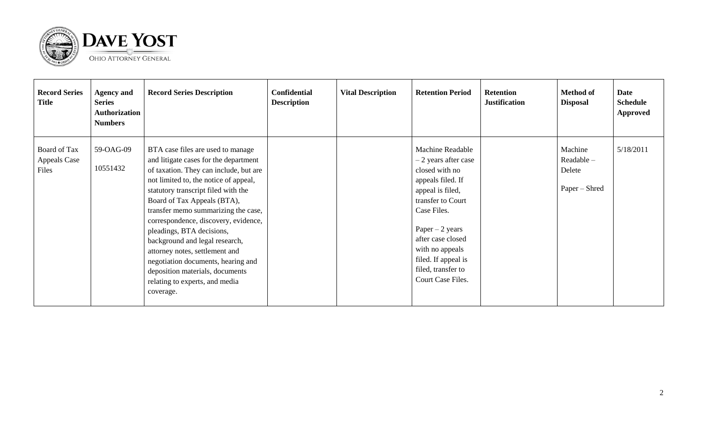

| <b>Record Series</b><br><b>Title</b>         | <b>Agency and</b><br><b>Series</b><br>Authorization<br><b>Numbers</b> | <b>Record Series Description</b>                                                                                                                                                                                                                                                                                                                                                                                                                                                                                                            | <b>Confidential</b><br><b>Description</b> | <b>Vital Description</b> | <b>Retention Period</b>                                                                                                                                                                                                                                                       | <b>Retention</b><br><b>Justification</b> | <b>Method of</b><br><b>Disposal</b>             | Date<br><b>Schedule</b><br><b>Approved</b> |
|----------------------------------------------|-----------------------------------------------------------------------|---------------------------------------------------------------------------------------------------------------------------------------------------------------------------------------------------------------------------------------------------------------------------------------------------------------------------------------------------------------------------------------------------------------------------------------------------------------------------------------------------------------------------------------------|-------------------------------------------|--------------------------|-------------------------------------------------------------------------------------------------------------------------------------------------------------------------------------------------------------------------------------------------------------------------------|------------------------------------------|-------------------------------------------------|--------------------------------------------|
| Board of Tax<br><b>Appeals Case</b><br>Files | 59-OAG-09<br>10551432                                                 | BTA case files are used to manage<br>and litigate cases for the department<br>of taxation. They can include, but are<br>not limited to, the notice of appeal,<br>statutory transcript filed with the<br>Board of Tax Appeals (BTA),<br>transfer memo summarizing the case,<br>correspondence, discovery, evidence,<br>pleadings, BTA decisions,<br>background and legal research,<br>attorney notes, settlement and<br>negotiation documents, hearing and<br>deposition materials, documents<br>relating to experts, and media<br>coverage. |                                           |                          | <b>Machine Readable</b><br>$-2$ years after case<br>closed with no<br>appeals filed. If<br>appeal is filed,<br>transfer to Court<br>Case Files.<br>Paper $-2$ years<br>after case closed<br>with no appeals<br>filed. If appeal is<br>filed, transfer to<br>Court Case Files. |                                          | Machine<br>Readable-<br>Delete<br>Paper – Shred | 5/18/2011                                  |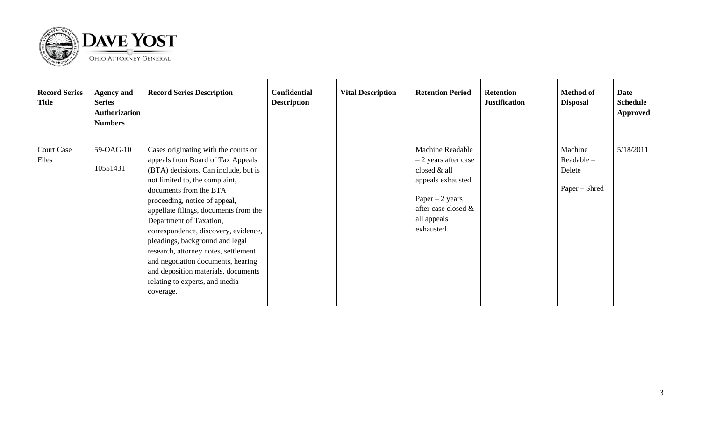

| <b>Record Series</b><br><b>Title</b> | <b>Agency and</b><br><b>Series</b><br><b>Authorization</b><br><b>Numbers</b> | <b>Record Series Description</b>                                                                                                                                                                                                                                                                                                                                                                                                                                                                                                  | <b>Confidential</b><br><b>Description</b> | <b>Vital Description</b> | <b>Retention Period</b>                                                                                                                                       | <b>Retention</b><br><b>Justification</b> | <b>Method of</b><br><b>Disposal</b>                | Date<br><b>Schedule</b><br><b>Approved</b> |
|--------------------------------------|------------------------------------------------------------------------------|-----------------------------------------------------------------------------------------------------------------------------------------------------------------------------------------------------------------------------------------------------------------------------------------------------------------------------------------------------------------------------------------------------------------------------------------------------------------------------------------------------------------------------------|-------------------------------------------|--------------------------|---------------------------------------------------------------------------------------------------------------------------------------------------------------|------------------------------------------|----------------------------------------------------|--------------------------------------------|
| <b>Court Case</b><br>Files           | 59-OAG-10<br>10551431                                                        | Cases originating with the courts or<br>appeals from Board of Tax Appeals<br>(BTA) decisions. Can include, but is<br>not limited to, the complaint,<br>documents from the BTA<br>proceeding, notice of appeal,<br>appellate filings, documents from the<br>Department of Taxation,<br>correspondence, discovery, evidence,<br>pleadings, background and legal<br>research, attorney notes, settlement<br>and negotiation documents, hearing<br>and deposition materials, documents<br>relating to experts, and media<br>coverage. |                                           |                          | <b>Machine Readable</b><br>- 2 years after case<br>closed & all<br>appeals exhausted.<br>Paper $-2$ years<br>after case closed &<br>all appeals<br>exhausted. |                                          | Machine<br>$Readable -$<br>Delete<br>Paper – Shred | 5/18/2011                                  |